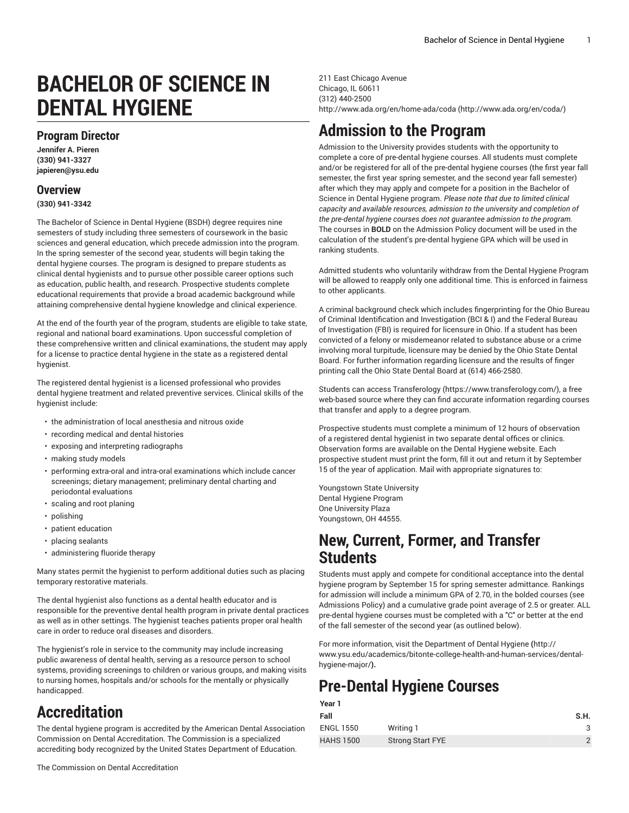# **BACHELOR OF SCIENCE IN DENTAL HYGIENE**

### **Program Director**

**Jennifer A. Pieren (330) 941-3327 japieren@ysu.edu**

### **Overview**

**(330) 941-3342**

The Bachelor of Science in Dental Hygiene (BSDH) degree requires nine semesters of study including three semesters of coursework in the basic sciences and general education, which precede admission into the program. In the spring semester of the second year, students will begin taking the dental hygiene courses. The program is designed to prepare students as clinical dental hygienists and to pursue other possible career options such as education, public health, and research. Prospective students complete educational requirements that provide a broad academic background while attaining comprehensive dental hygiene knowledge and clinical experience.

At the end of the fourth year of the program, students are eligible to take state, regional and national board examinations. Upon successful completion of these comprehensive written and clinical examinations, the student may apply for a license to practice dental hygiene in the state as a registered dental hygienist.

The registered dental hygienist is a licensed professional who provides dental hygiene treatment and related preventive services. Clinical skills of the hygienist include:

- the administration of local anesthesia and nitrous oxide
- recording medical and dental histories
- exposing and interpreting radiographs
- making study models
- performing extra-oral and intra-oral examinations which include cancer screenings; dietary management; preliminary dental charting and periodontal evaluations
- scaling and root planing
- polishing
- patient education
- placing sealants
- administering fluoride therapy

Many states permit the hygienist to perform additional duties such as placing temporary restorative materials.

The dental hygienist also functions as a dental health educator and is responsible for the preventive dental health program in private dental practices as well as in other settings. The hygienist teaches patients proper oral health care in order to reduce oral diseases and disorders.

The hygienist's role in service to the community may include increasing public awareness of dental health, serving as a resource person to school systems, providing screenings to children or various groups, and making visits to nursing homes, hospitals and/or schools for the mentally or physically handicapped.

## **Accreditation**

The dental hygiene program is accredited by the American Dental Association Commission on Dental Accreditation. The Commission is a specialized accrediting body recognized by the United States Department of Education.

211 East Chicago Avenue Chicago, IL 60611 (312) 440-2500 [http://www.ada.org/en/home-ada/coda](http://www.ada.org/en/coda/) [\(http://www.ada.org/en/coda/\)](http://www.ada.org/en/coda/)

## **Admission to the Program**

Admission to the University provides students with the opportunity to complete a core of pre-dental hygiene courses. All students must complete and/or be registered for all of the pre-dental hygiene courses (the first year fall semester, the first year spring semester, and the second year fall semester) after which they may apply and compete for a position in the Bachelor of Science in Dental Hygiene program. *Please note that due to limited clinical capacity and available resources, admission to the university and completion of the pre-dental hygiene courses does not guarantee admission to the program.* The courses in **BOLD** on the Admission Policy document will be used in the calculation of the student's pre-dental hygiene GPA which will be used in ranking students.

Admitted students who voluntarily withdraw from the Dental Hygiene Program will be allowed to reapply only one additional time. This is enforced in fairness to other applicants.

A criminal background check which includes fingerprinting for the Ohio Bureau of Criminal Identification and Investigation (BCI & I) and the Federal Bureau of Investigation (FBI) is required for licensure in Ohio. If a student has been convicted of a felony or misdemeanor related to substance abuse or a crime involving moral turpitude, licensure may be denied by the Ohio State Dental Board. For further information regarding licensure and the results of finger printing call the Ohio State Dental Board at (614) 466-2580.

Students can access [Transferology](https://www.transferology.com/) ([https://www.transferology.com/\)](https://www.transferology.com/), a free web-based source where they can find accurate information regarding courses that transfer and apply to a degree program.

Prospective students must complete a minimum of 12 hours of observation of a registered dental hygienist in two separate dental offices or clinics. Observation forms are available on the Dental Hygiene website. Each prospective student must print the form, fill it out and return it by September 15 of the year of application. Mail with appropriate signatures to:

Youngstown State University Dental Hygiene Program One University Plaza Youngstown, OH 44555.

### **New, Current, Former, and Transfer Students**

Students must apply and compete for conditional acceptance into the dental hygiene program by September 15 for spring semester admittance. Rankings for admission will include a minimum GPA of 2.70, in the bolded courses (see Admissions Policy) and a cumulative grade point average of 2.5 or greater. ALL pre-dental hygiene courses must be completed with a "C" or better at the end of the fall semester of the second year (as outlined below).

For more information, visit the [Department](http://www.ysu.edu/academics/bitonte-college-health-and-human-services/dental-hygiene-major/) of Dental Hygiene **(**[http://](http://www.ysu.edu/academics/bitonte-college-health-and-human-services/dental-hygiene-major/) [www.ysu.edu/academics/bitonte-college-health-and-human-services/dental](http://www.ysu.edu/academics/bitonte-college-health-and-human-services/dental-hygiene-major/)[hygiene-major/](http://www.ysu.edu/academics/bitonte-college-health-and-human-services/dental-hygiene-major/)**).**

## **Pre-Dental Hygiene Courses**

| Year 1           |                         |               |
|------------------|-------------------------|---------------|
| Fall             |                         | S.H.          |
| <b>ENGL 1550</b> | Writing 1               | 3             |
| <b>HAHS 1500</b> | <b>Strong Start FYE</b> | $\mathcal{P}$ |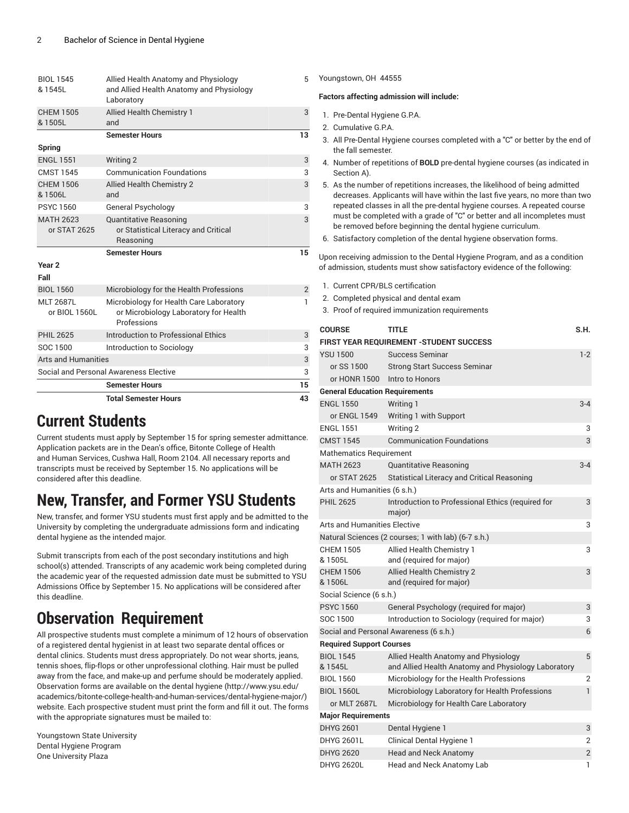| <b>BIOL 1545</b><br>& 1545L       | Allied Health Anatomy and Physiology<br>and Allied Health Anatomy and Physiology<br>Laboratory  | 5              |
|-----------------------------------|-------------------------------------------------------------------------------------------------|----------------|
| <b>CHEM 1505</b><br>& 1505L       | <b>Allied Health Chemistry 1</b><br>and                                                         | 3              |
|                                   | <b>Semester Hours</b>                                                                           | 13             |
| Spring                            |                                                                                                 |                |
| <b>ENGL 1551</b>                  | Writing 2                                                                                       | 3              |
| <b>CMST 1545</b>                  | <b>Communication Foundations</b>                                                                | 3              |
| CHFM 1506<br>& 1506L              | <b>Allied Health Chemistry 2</b><br>and                                                         | 3              |
| <b>PSYC 1560</b>                  | General Psychology                                                                              | 3              |
| <b>MATH 2623</b><br>or STAT 2625  | <b>Quantitative Reasoning</b><br>or Statistical Literacy and Critical<br>Reasoning              | 3              |
|                                   | <b>Semester Hours</b>                                                                           | 15             |
| Year <sub>2</sub>                 |                                                                                                 |                |
| Fall                              |                                                                                                 |                |
| <b>BIOL 1560</b>                  | Microbiology for the Health Professions                                                         | $\overline{2}$ |
| <b>MLT 2687L</b><br>or BIOL 1560L | Microbiology for Health Care Laboratory<br>or Microbiology Laboratory for Health<br>Professions | 1              |
| <b>PHIL 2625</b>                  | Introduction to Professional Ethics                                                             | 3              |
| SOC 1500                          | Introduction to Sociology                                                                       | 3              |
| <b>Arts and Humanities</b>        |                                                                                                 | 3              |
|                                   | Social and Personal Awareness Elective                                                          | 3              |
|                                   | <b>Semester Hours</b>                                                                           | 15             |
|                                   | <b>Total Semester Hours</b>                                                                     | 43             |

## **Current Students**

Current students must apply by September 15 for spring semester admittance. Application packets are in the Dean's office, Bitonte College of Health and Human Services, Cushwa Hall, Room 2104. All necessary reports and transcripts must be received by September 15. No applications will be considered after this deadline.

## **New, Transfer, and Former YSU Students**

New, transfer, and former YSU students must first apply and be admitted to the University by completing the undergraduate admissions form and indicating dental hygiene as the intended major.

Submit transcripts from each of the post secondary institutions and high school(s) attended. Transcripts of any academic work being completed during the academic year of the requested admission date must be submitted to YSU Admissions Office by September 15. No applications will be considered after this deadline.

## **Observation Requirement**

All prospective students must complete a minimum of 12 hours of observation of a registered dental hygienist in at least two separate dental offices or dental clinics. Students must dress appropriately. Do not wear shorts, jeans, tennis shoes, flip-flops or other unprofessional clothing. Hair must be pulled away from the face, and make-up and perfume should be moderately applied. Observation forms are available on the dental [hygiene \(http://www.ysu.edu/](http://www.ysu.edu/academics/bitonte-college-health-and-human-services/dental-hygiene-major/) [academics/bitonte-college-health-and-human-services/dental-hygiene-major/](http://www.ysu.edu/academics/bitonte-college-health-and-human-services/dental-hygiene-major/)) website. Each prospective student must print the form and fill it out. The forms with the appropriate signatures must be mailed to:

Youngstown State University Dental Hygiene Program One University Plaza

Youngstown, OH 44555

#### **Factors affecting admission will include:**

- 1. Pre-Dental Hygiene G.P.A.
- 2. Cumulative G.P.A.
- 3. All Pre-Dental Hygiene courses completed with a "C" or better by the end of the fall semester.
- 4. Number of repetitions of **BOLD** pre-dental hygiene courses (as indicated in Section A).
- 5. As the number of repetitions increases, the likelihood of being admitted decreases. Applicants will have within the last five years, no more than two repeated classes in all the pre-dental hygiene courses. A repeated course must be completed with a grade of "C" or better and all incompletes must be removed before beginning the dental hygiene curriculum.
- 6. Satisfactory completion of the dental hygiene observation forms.

Upon receiving admission to the Dental Hygiene Program, and as a condition of admission, students must show satisfactory evidence of the following:

- 1. Current CPR/BLS certification
- 2. Completed physical and dental exam
- 3. Proof of required immunization requirements

| <b>COURSE</b>                         | <b>TITLE</b>                                                                                | S.H.           |
|---------------------------------------|---------------------------------------------------------------------------------------------|----------------|
|                                       | FIRST YEAR REQUIREMENT - STUDENT SUCCESS                                                    |                |
| <b>YSU 1500</b>                       | <b>Success Seminar</b>                                                                      | $1-2$          |
| or SS 1500                            | <b>Strong Start Success Seminar</b>                                                         |                |
| or HONR 1500                          | Intro to Honors                                                                             |                |
| <b>General Education Requirements</b> |                                                                                             |                |
| <b>ENGL 1550</b>                      | Writing 1                                                                                   | $3 - 4$        |
| or ENGL 1549                          | Writing 1 with Support                                                                      |                |
| <b>ENGL 1551</b>                      | Writing 2                                                                                   | 3              |
| <b>CMST 1545</b>                      | <b>Communication Foundations</b>                                                            | 3              |
| Mathematics Requirement               |                                                                                             |                |
| <b>MATH 2623</b>                      | Quantitative Reasoning                                                                      | $3 - 4$        |
| or STAT 2625                          | Statistical Literacy and Critical Reasoning                                                 |                |
| Arts and Humanities (6 s.h.)          |                                                                                             |                |
| <b>PHIL 2625</b>                      | Introduction to Professional Ethics (required for<br>major)                                 | 3              |
| Arts and Humanities Elective          |                                                                                             | 3              |
|                                       | Natural Sciences (2 courses; 1 with lab) (6-7 s.h.)                                         |                |
| <b>CHEM 1505</b><br>& 1505L           | Allied Health Chemistry 1<br>and (required for major)                                       | 3              |
| <b>CHEM 1506</b><br>& 1506L           | Allied Health Chemistry 2<br>and (required for major)                                       | 3              |
| Social Science (6 s.h.)               |                                                                                             |                |
| <b>PSYC 1560</b>                      | General Psychology (required for major)                                                     | 3              |
| SOC 1500                              | Introduction to Sociology (required for major)                                              | 3              |
|                                       | Social and Personal Awareness (6 s.h.)                                                      | 6              |
| <b>Required Support Courses</b>       |                                                                                             |                |
| <b>BIOL 1545</b><br>& 1545L           | Allied Health Anatomy and Physiology<br>and Allied Health Anatomy and Physiology Laboratory | 5              |
| <b>BIOL 1560</b>                      | Microbiology for the Health Professions                                                     | 2              |
| <b>BIOL 1560L</b>                     | Microbiology Laboratory for Health Professions                                              | 1              |
| or MLT 2687L                          | Microbiology for Health Care Laboratory                                                     |                |
| <b>Major Requirements</b>             |                                                                                             |                |
| <b>DHYG 2601</b>                      | Dental Hygiene 1                                                                            | 3              |
| <b>DHYG 2601L</b>                     | Clinical Dental Hygiene 1                                                                   | 2              |
| <b>DHYG 2620</b>                      | <b>Head and Neck Anatomy</b>                                                                | $\overline{2}$ |
| <b>DHYG 2620L</b>                     | Head and Neck Anatomy Lab                                                                   | 1              |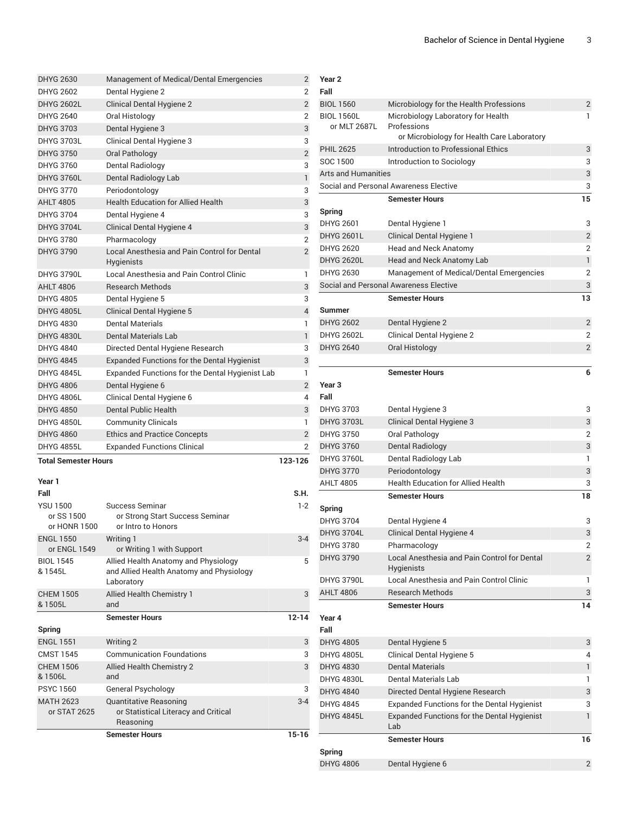| <b>Total Semester Hours</b> |                                                                   | 123-126        |
|-----------------------------|-------------------------------------------------------------------|----------------|
| <b>DHYG 4855L</b>           | <b>Expanded Functions Clinical</b>                                | $\overline{2}$ |
| <b>DHYG 4860</b>            | <b>Ethics and Practice Concepts</b>                               | $\overline{2}$ |
| <b>DHYG 4850L</b>           | <b>Community Clinicals</b>                                        | 1              |
| <b>DHYG 4850</b>            | Dental Public Health                                              | 3              |
| <b>DHYG 4806L</b>           | Clinical Dental Hygiene 6                                         | $\overline{4}$ |
| <b>DHYG 4806</b>            | Dental Hygiene 6                                                  | $\overline{2}$ |
| <b>DHYG 4845L</b>           | Expanded Functions for the Dental Hygienist Lab                   | 1              |
| <b>DHYG 4845</b>            | <b>Expanded Functions for the Dental Hygienist</b>                | 3              |
| <b>DHYG 4840</b>            | Directed Dental Hygiene Research                                  | 3              |
| <b>DHYG 4830L</b>           | Dental Materials Lab                                              | $\mathbf{1}$   |
| DHYG 4830                   | Dental Materials                                                  | 1              |
| <b>DHYG 4805L</b>           | <b>Clinical Dental Hygiene 5</b>                                  | 4              |
| <b>DHYG 4805</b>            | Dental Hygiene 5                                                  | 3              |
| <b>AHLT 4806</b>            | <b>Research Methods</b>                                           | 3              |
| <b>DHYG 3790L</b>           | Local Anesthesia and Pain Control Clinic                          | 1              |
| <b>DHYG 3790</b>            | Local Anesthesia and Pain Control for Dental<br><b>Hygienists</b> | $\overline{2}$ |
| <b>DHYG 3780</b>            | Pharmacology                                                      | $\overline{2}$ |
| <b>DHYG 3704L</b>           | <b>Clinical Dental Hygiene 4</b>                                  | 3              |
| DHYG 3704                   | Dental Hygiene 4                                                  | 3              |
| <b>AHLT 4805</b>            | <b>Health Education for Allied Health</b>                         | 3              |
| <b>DHYG 3770</b>            | Periodontology                                                    | 3              |
| <b>DHYG 3760L</b>           | Dental Radiology Lab                                              | $\mathbf{1}$   |
| DHYG 3760                   | Dental Radiology                                                  | 3              |
| <b>DHYG 3750</b>            | Oral Pathology                                                    | $\overline{2}$ |
| <b>DHYG 3703L</b>           | Clinical Dental Hygiene 3                                         | 3              |
| <b>DHYG 3703</b>            | Dental Hygiene 3                                                  | 3              |
| DHYG 2640                   | Oral Histology                                                    | $\overline{2}$ |
| <b>DHYG 2602L</b>           | <b>Clinical Dental Hygiene 2</b>                                  | $\overline{2}$ |
| <b>DHYG 2602</b>            | Dental Hygiene 2                                                  | 2              |
| <b>DHYG 2630</b>            | Management of Medical/Dental Emergencies                          | $\overline{2}$ |

| Year 1                                        |                                                                                                |           |
|-----------------------------------------------|------------------------------------------------------------------------------------------------|-----------|
| Fall                                          |                                                                                                | S.H.      |
| <b>YSU 1500</b><br>or SS 1500<br>or HONR 1500 | Success Seminar<br>or Strong Start Success Seminar<br>or Intro to Honors                       | $1-2$     |
| <b>ENGL 1550</b><br>or ENGL 1549              | Writing 1<br>or Writing 1 with Support                                                         | $3 - 4$   |
| <b>BIOL 1545</b><br>& 1545L                   | Allied Health Anatomy and Physiology<br>and Allied Health Anatomy and Physiology<br>Laboratory | 5         |
| <b>CHEM 1505</b><br>& 1505L                   | <b>Allied Health Chemistry 1</b><br>and                                                        | 3         |
|                                               |                                                                                                |           |
|                                               | <b>Semester Hours</b>                                                                          | $12 - 14$ |
| Spring                                        |                                                                                                |           |
| <b>ENGL 1551</b>                              | Writing 2                                                                                      | 3         |
| <b>CMST 1545</b>                              | <b>Communication Foundations</b>                                                               | 3         |
| <b>CHEM 1506</b><br>& 1506L                   | <b>Allied Health Chemistry 2</b><br>and                                                        | 3         |
| <b>PSYC 1560</b>                              | General Psychology                                                                             | 3         |
| <b>MATH 2623</b><br>or STAT 2625              | <b>Quantitative Reasoning</b><br>or Statistical Literacy and Critical<br>Reasoning             | $3 - 4$   |

| Year 2                            |                                                    |                |
|-----------------------------------|----------------------------------------------------|----------------|
| Fall                              |                                                    |                |
| <b>BIOL 1560</b>                  | Microbiology for the Health Professions            | 2              |
| <b>BIOL 1560L</b><br>or MLT 2687L | Microbiology Laboratory for Health<br>Professions  | 1              |
|                                   | or Microbiology for Health Care Laboratory         |                |
| <b>PHIL 2625</b>                  | Introduction to Professional Ethics                | 3              |
| SOC 1500                          | Introduction to Sociology                          | 3              |
| <b>Arts and Humanities</b>        |                                                    | 3              |
|                                   | Social and Personal Awareness Elective             | 3              |
|                                   | <b>Semester Hours</b>                              | 15             |
| Spring                            |                                                    |                |
| <b>DHYG 2601</b>                  | Dental Hygiene 1                                   | 3              |
| <b>DHYG 2601L</b>                 | <b>Clinical Dental Hygiene 1</b>                   | $\overline{2}$ |
| <b>DHYG 2620</b>                  | Head and Neck Anatomy                              | $\overline{2}$ |
| <b>DHYG 2620L</b>                 | Head and Neck Anatomy Lab                          | $\mathbf{1}$   |
| <b>DHYG 2630</b>                  | Management of Medical/Dental Emergencies           | $\overline{2}$ |
|                                   | Social and Personal Awareness Elective             | 3              |
|                                   | <b>Semester Hours</b>                              | 13             |
| Summer                            |                                                    |                |
| <b>DHYG 2602</b>                  | Dental Hygiene 2                                   | $\overline{2}$ |
| <b>DHYG 2602L</b>                 | Clinical Dental Hygiene 2                          | $\overline{2}$ |
| <b>DHYG 2640</b>                  | Oral Histology                                     | $\overline{2}$ |
|                                   |                                                    |                |
|                                   | <b>Semester Hours</b>                              | 6              |
| Year <sub>3</sub>                 |                                                    |                |
| Fall                              |                                                    |                |
| <b>DHYG 3703</b>                  | Dental Hygiene 3                                   | 3              |
| <b>DHYG 3703L</b>                 | Clinical Dental Hygiene 3                          | 3              |
| <b>DHYG 3750</b>                  | Oral Pathology                                     | $\overline{2}$ |
| <b>DHYG 3760</b>                  | Dental Radiology                                   | 3              |
| <b>DHYG 3760L</b>                 | Dental Radiology Lab                               | 1              |
| <b>DHYG 3770</b>                  | Periodontology                                     | 3              |
| <b>AHLT 4805</b>                  | <b>Health Education for Allied Health</b>          | 3              |
|                                   | <b>Semester Hours</b>                              | 18             |
| Spring                            |                                                    |                |
| <b>DHYG 3704</b>                  | Dental Hygiene 4                                   | 3              |
| <b>DHYG 3704L</b>                 | <b>Clinical Dental Hygiene 4</b>                   | 3              |
| <b>DHYG 3780</b>                  | Pharmacology                                       | 2              |
| <b>DHYG 3790</b>                  | Local Anesthesia and Pain Control for Dental       | $\overline{2}$ |
|                                   | Hygienists                                         |                |
| <b>DHYG 3790L</b>                 | Local Anesthesia and Pain Control Clinic           | 1              |
| <b>AHLT 4806</b>                  | <b>Research Methods</b>                            | 3              |
|                                   | <b>Semester Hours</b>                              | 14             |
| Year 4                            |                                                    |                |
| Fall                              |                                                    |                |
| <b>DHYG 4805</b>                  | Dental Hygiene 5                                   | 3              |
| <b>DHYG 4805L</b>                 | Clinical Dental Hygiene 5                          | 4              |
| <b>DHYG 4830</b>                  | <b>Dental Materials</b>                            | $\mathbf{1}$   |
| <b>DHYG 4830L</b>                 | Dental Materials Lab                               | 1              |
| <b>DHYG 4840</b>                  | Directed Dental Hygiene Research                   | 3              |
| <b>DHYG 4845</b>                  | <b>Expanded Functions for the Dental Hygienist</b> | 3              |
| <b>DHYG 4845L</b>                 | <b>Expanded Functions for the Dental Hygienist</b> | $\mathbf{1}$   |
|                                   | Lab                                                |                |
|                                   | <b>Semester Hours</b>                              | 16             |
| <b>Spring</b>                     |                                                    |                |
| <b>DHYG 4806</b>                  | Dental Hygiene 6                                   | $\overline{2}$ |